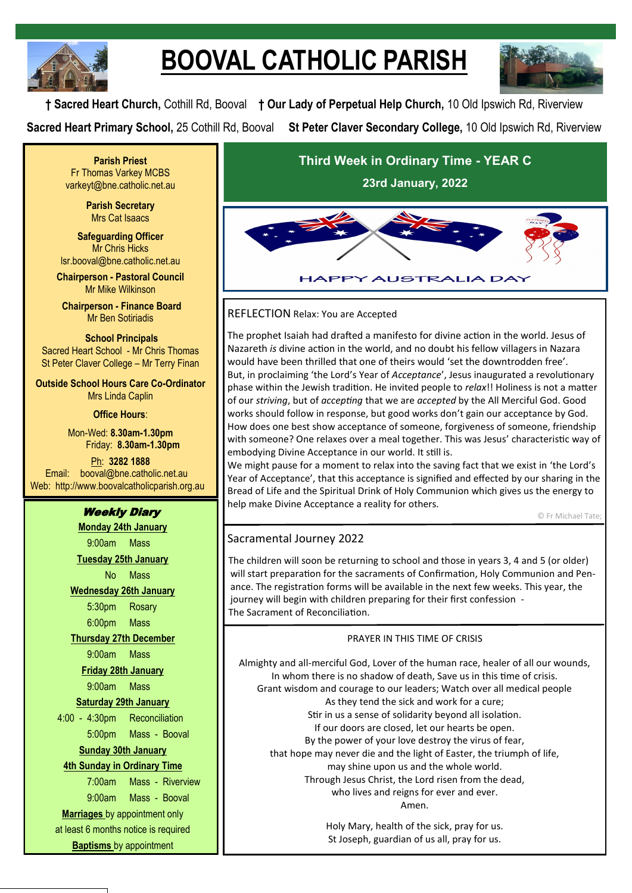

# **BOOVAL CATHOLIC PARISH**



**† Sacred Heart Church,** Cothill Rd, Booval **† Our Lady of Perpetual Help Church,** 10 Old Ipswich Rd, Riverview **Sacred Heart Primary School,** 25 Cothill Rd, Booval **St Peter Claver Secondary College,** 10 Old Ipswich Rd, Riverview

**Parish Priest** Fr Thomas Varkey MCBS varkeyt@bne.catholic.net.au

> **Parish Secretary** Mrs Cat Isaacs

**Safeguarding Officer** Mr Chris Hicks [lsr.booval@bne.catholic.net.au](mailto:lsr.booval@bne.catholi.net.au)

**Chairperson - Pastoral Council** Mr Mike Wilkinson

**Chairperson - Finance Board** Mr Ben Sotiriadis

**School Principals** Sacred Heart School - Mr Chris Thomas St Peter Claver College – Mr Terry Finan

**Outside School Hours Care Co-Ordinator** Mrs Linda Caplin

**Office Hours**:

Mon-Wed: **8.30am-1.30pm** Friday: **8.30am-1.30pm**

Ph: **3282 1888**  Email: booval@bne.catholic.net.au Web: http://www.boovalcatholicparish.org.au

# Weekly Diary

**Monday 24th January** 9:00am Mass **Tuesday 25th January** No Mass

**Wednesday 26th January** 5:30pm Rosary 6:00pm Mass

**Thursday 27th December**

9:00am Mass

**Friday 28th January**

9:00am Mass **Saturday 29th January**

4:00 - 4:30pm Reconciliation

5:00pm Mass - Booval

# **Sunday 30th January**

## **4th Sunday in Ordinary Time**

7:00am Mass - Riverview

9:00am Mass - Booval **Marriages** by appointment only at least 6 months notice is required

**Baptisms** by appointment

**Third Week in Ordinary Time - YEAR C 23rd January, 2022**



## REFLECTION Relax: You are Accepted

The prophet Isaiah had drafted a manifesto for divine action in the world. Jesus of Nazareth *is* divine action in the world, and no doubt his fellow villagers in Nazara would have been thrilled that one of theirs would 'set the downtrodden free'. But, in proclaiming 'the Lord's Year of *Acceptance*', Jesus inaugurated a revolutionary phase within the Jewish tradition. He invited people to *relax*!! Holiness is not a matter of our *striving*, but of *accepting* that we are *accepted* by the All Merciful God. Good works should follow in response, but good works don't gain our acceptance by God. How does one best show acceptance of someone, forgiveness of someone, friendship with someone? One relaxes over a meal together. This was Jesus' characteristic way of embodying Divine Acceptance in our world. It still is.

We might pause for a moment to relax into the saving fact that we exist in 'the Lord's Year of Acceptance', that this acceptance is signified and effected by our sharing in the Bread of Life and the Spiritual Drink of Holy Communion which gives us the energy to help make Divine Acceptance a reality for others.

© Fr Michael Tate;

# Sacramental Journey 2022

The children will soon be returning to school and those in years 3, 4 and 5 (or older) will start preparation for the sacraments of Confirmation, Holy Communion and Penance. The registration forms will be available in the next few weeks. This year, the journey will begin with children preparing for their first confession - The Sacrament of Reconciliation.

## PRAYER IN THIS TIME OF CRISIS

Almighty and all-merciful God, Lover of the human race, healer of all our wounds, In whom there is no shadow of death, Save us in this time of crisis. Grant wisdom and courage to our leaders; Watch over all medical people As they tend the sick and work for a cure; Stir in us a sense of solidarity beyond all isolation. If our doors are closed, let our hearts be open. By the power of your love destroy the virus of fear, that hope may never die and the light of Easter, the triumph of life, may shine upon us and the whole world. Through Jesus Christ, the Lord risen from the dead, who lives and reigns for ever and ever. Amen.

> Holy Mary, health of the sick, pray for us. St Joseph, guardian of us all, pray for us.